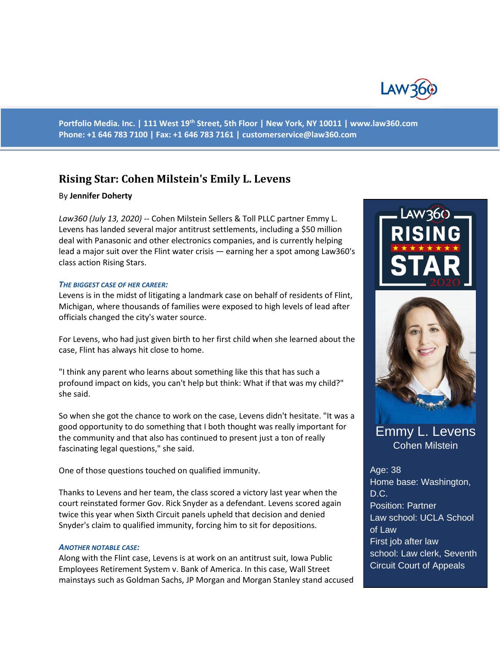

**Portfolio Media. Inc. | 111 West 19th Street, 5th Floor | New York, NY 10011 | www.law360.com Phone: +1 646 783 7100 | Fax: +1 646 783 7161 | [customerservice@law360.com](mailto:customerservice@law360.com)**

# **Rising Star: Cohen Milstein's Emily L. Levens**

### By **Jennifer Doherty**

*Law360 (July 13, 2020)* -- Cohen Milstein Sellers & Toll PLLC partner Emmy L. Levens has landed several major antitrust settlements, including a \$50 million deal with Panasonic and other electronics companies, and is currently helping lead a major suit over the Flint water crisis — earning her a spot among Law360's class action Rising Stars.

#### *THE BIGGEST CASE OF HER CAREER:*

Levens is in the midst of litigating a landmark case on behalf of residents of Flint, Michigan, where thousands of families were exposed to high levels of lead after officials changed the city's water source.

For Levens, who had just given birth to her first child when she learned about the case, Flint has always hit close to home.

"I think any parent who learns about something like this that has such a profound impact on kids, you can't help but think: What if that was my child?" she said.

So when she got the chance to work on the case, Levens didn't hesitate. "It was a good opportunity to do something that I both thought was really important for the community and that also has continued to present just a ton of really fascinating legal questions," she said.

One of those questions touched on qualified immunity.

Thanks to Levens and her team, the class scored a victory last year when the court reinstated former Gov. Rick Snyder as a defendant. Levens scored again twice this year when Sixth Circuit panels upheld that decision and denied Snyder's claim to qualified immunity, forcing him to sit for depositions.

#### *ANOTHER NOTABLE CASE:*

Along with the Flint case, Levens is at work on an antitrust suit, Iowa Public Employees Retirement System v. Bank of America. In this case, Wall Street mainstays such as Goldman Sachs, JP Morgan and Morgan Stanley stand accused





# Emmy L. Levens Cohen Milstein

Age: 38 Home base: Washington, D.C. Position: Partner Law school: UCLA School of Law First job after law school: Law clerk, Seventh Circuit Court of Appeals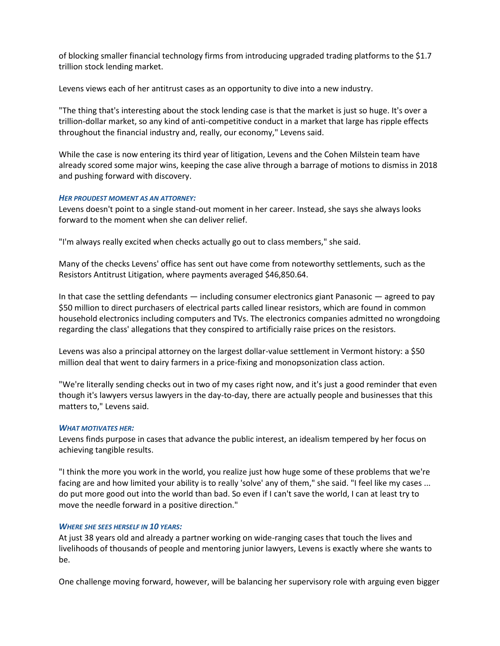of blocking smaller financial technology firms from introducing upgraded trading platforms to the \$1.7 trillion stock lending market.

Levens views each of her antitrust cases as an opportunity to dive into a new industry.

"The thing that's interesting about the stock lending case is that the market is just so huge. It's over a trillion-dollar market, so any kind of anti-competitive conduct in a market that large has ripple effects throughout the financial industry and, really, our economy," Levens said.

While the case is now entering its third year of litigation, Levens and the Cohen Milstein team have already scored some major wins, keeping the case alive through a barrage of motions to dismiss in 2018 and pushing forward with discovery.

### *HER PROUDEST MOMENT AS AN ATTORNEY:*

Levens doesn't point to a single stand-out moment in her career. Instead, she says she always looks forward to the moment when she can deliver relief.

"I'm always really excited when checks actually go out to class members," she said.

Many of the checks Levens' office has sent out have come from noteworthy settlements, such as the Resistors Antitrust Litigation, where payments averaged \$46,850.64.

In that case the settling defendants  $-$  including consumer electronics giant Panasonic  $-$  agreed to pay \$50 million to direct purchasers of electrical parts called linear resistors, which are found in common household electronics including computers and TVs. The electronics companies admitted no wrongdoing regarding the class' allegations that they conspired to artificially raise prices on the resistors.

Levens was also a principal attorney on the largest dollar-value settlement in Vermont history: a \$50 million deal that went to dairy farmers in a price-fixing and monopsonization class action.

"We're literally sending checks out in two of my cases right now, and it's just a good reminder that even though it's lawyers versus lawyers in the day-to-day, there are actually people and businesses that this matters to," Levens said.

### *WHAT MOTIVATES HER:*

Levens finds purpose in cases that advance the public interest, an idealism tempered by her focus on achieving tangible results.

"I think the more you work in the world, you realize just how huge some of these problems that we're facing are and how limited your ability is to really 'solve' any of them," she said. "I feel like my cases ... do put more good out into the world than bad. So even if I can't save the world, I can at least try to move the needle forward in a positive direction."

### *WHERE SHE SEES HERSELF IN 10 YEARS:*

At just 38 years old and already a partner working on wide-ranging cases that touch the lives and livelihoods of thousands of people and mentoring junior lawyers, Levens is exactly where she wants to be.

One challenge moving forward, however, will be balancing her supervisory role with arguing even bigger